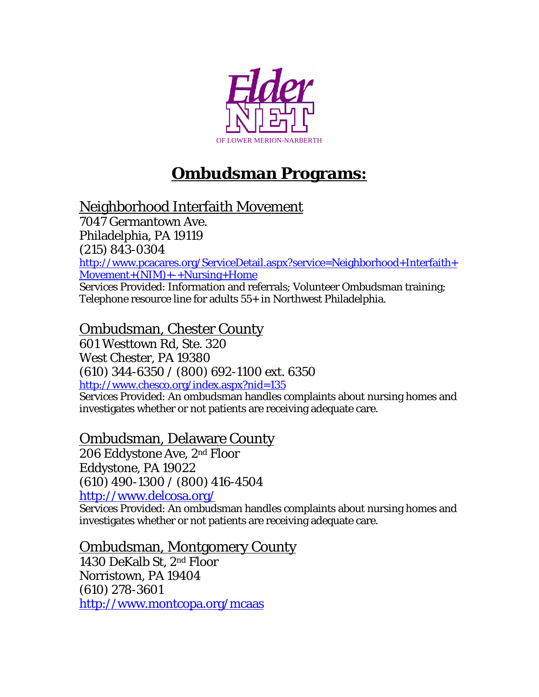

# **Ombudsman Programs:**

Neighborhood Interfaith Movement

7047 Germantown Ave. Philadelphia, PA 19119 (215) 843-0304 [http://www.pcacares.org/ServiceDetail.aspx?service=Neighborhood+Interfaith+](http://www.pcacares.org/ServiceDetail.aspx?service=Neighborhood+Interfaith+Movement+(NIM)+-+Nursing+Home) [Movement+\(NIM\)+-+Nursing+Home](http://www.pcacares.org/ServiceDetail.aspx?service=Neighborhood+Interfaith+Movement+(NIM)+-+Nursing+Home) Services Provided: Information and referrals; Volunteer Ombudsman training;

Telephone resource line for adults 55+ in Northwest Philadelphia.

Ombudsman, Chester County

601 Westtown Rd, Ste. 320 West Chester, PA 19380 (610) 344-6350 / (800) 692-1100 ext. 6350 <http://www.chesco.org/index.aspx?nid=135>

Services Provided: An ombudsman handles complaints about nursing homes and investigates whether or not patients are receiving adequate care.

#### Ombudsman, Delaware County

206 Eddystone Ave, 2nd Floor Eddystone, PA 19022 (610) 490-1300 / (800) 416-4504 <http://www.delcosa.org/>

Services Provided: An ombudsman handles complaints about nursing homes and investigates whether or not patients are receiving adequate care.

#### Ombudsman, Montgomery County

1430 DeKalb St, 2nd Floor Norristown, PA 19404 (610) 278-3601 <http://www.montcopa.org/mcaas>